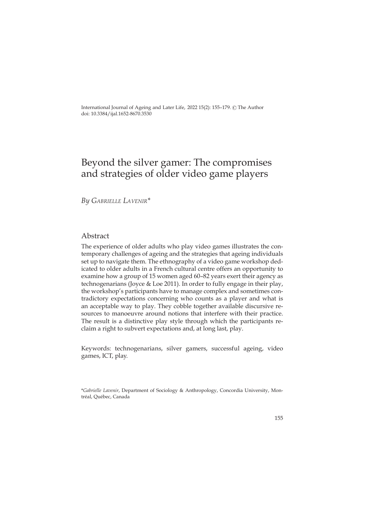International Journal of Ageing and Later Life, 2022 15(2): 155-179. © The Author doi: 10.3384/ijal.1652-8670.3530

# Beyond the silver gamer: The compromises and strategies of older video game players

*By Gabrielle Lavenir\**

# Abstract

The experience of older adults who play video games illustrates the contemporary challenges of ageing and the strategies that ageing individuals set up to navigate them. The ethnography of a video game workshop dedicated to older adults in a French cultural centre offers an opportunity to examine how a group of 15 women aged 60–82 years exert their agency as technogenarians (Joyce & Loe 2011). In order to fully engage in their play, the workshop's participants have to manage complex and sometimes contradictory expectations concerning who counts as a player and what is an acceptable way to play. They cobble together available discursive resources to manoeuvre around notions that interfere with their practice. The result is a distinctive play style through which the participants reclaim a right to subvert expectations and, at long last, play.

Keywords: technogenarians, silver gamers, successful ageing, video games, ICT, play.

\**Gabrielle Lavenir*, Department of Sociology & Anthropology, Concordia University, Montréal, Québec, Canada

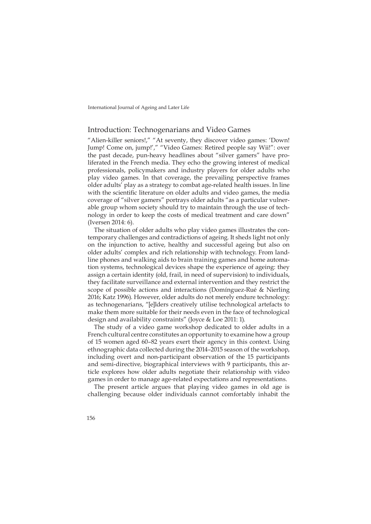#### Introduction: Technogenarians and Video Games

"Alien-killer seniors!," "At seventy, they discover video games: 'Down! Jump! Come on, jump!'," "Video Games: Retired people say Wii!": over the past decade, pun-heavy headlines about "silver gamers" have proliferated in the French media. They echo the growing interest of medical professionals, policymakers and industry players for older adults who play video games. In that coverage, the prevailing perspective frames older adults' play as a strategy to combat age-related health issues. In line with the scientific literature on older adults and video games, the media coverage of "silver gamers" portrays older adults "as a particular vulnerable group whom society should try to maintain through the use of technology in order to keep the costs of medical treatment and care down" (Iversen 2014: 6).

The situation of older adults who play video games illustrates the contemporary challenges and contradictions of ageing. It sheds light not only on the injunction to active, healthy and successful ageing but also on older adults' complex and rich relationship with technology. From landline phones and walking aids to brain training games and home automation systems, technological devices shape the experience of ageing: they assign a certain identity (old, frail, in need of supervision) to individuals, they facilitate surveillance and external intervention and they restrict the scope of possible actions and interactions (Domínguez-Rué & Nierling 2016; Katz 1996). However, older adults do not merely endure technology: as technogenarians, "[e]lders creatively utilise technological artefacts to make them more suitable for their needs even in the face of technological design and availability constraints" (Joyce & Loe 2011: 1).

The study of a video game workshop dedicated to older adults in a French cultural centre constitutes an opportunity to examine how a group of 15 women aged 60–82 years exert their agency in this context. Using ethnographic data collected during the 2014–2015 season of the workshop, including overt and non-participant observation of the 15 participants and semi-directive, biographical interviews with 9 participants, this article explores how older adults negotiate their relationship with video games in order to manage age-related expectations and representations.

The present article argues that playing video games in old age is challenging because older individuals cannot comfortably inhabit the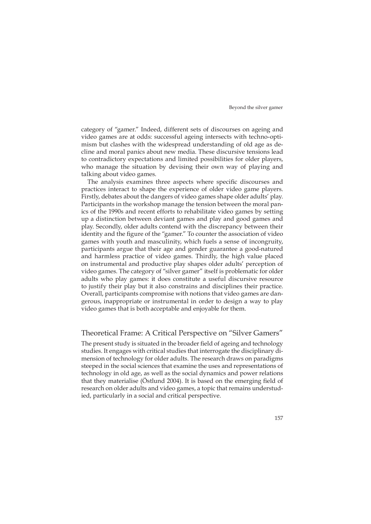category of "gamer." Indeed, different sets of discourses on ageing and video games are at odds: successful ageing intersects with techno-optimism but clashes with the widespread understanding of old age as decline and moral panics about new media. These discursive tensions lead to contradictory expectations and limited possibilities for older players, who manage the situation by devising their own way of playing and talking about video games.

The analysis examines three aspects where specific discourses and practices interact to shape the experience of older video game players. Firstly, debates about the dangers of video games shape older adults' play. Participants in the workshop manage the tension between the moral panics of the 1990s and recent efforts to rehabilitate video games by setting up a distinction between deviant games and play and good games and play. Secondly, older adults contend with the discrepancy between their identity and the figure of the "gamer." To counter the association of video games with youth and masculinity, which fuels a sense of incongruity, participants argue that their age and gender guarantee a good-natured and harmless practice of video games. Thirdly, the high value placed on instrumental and productive play shapes older adults' perception of video games. The category of "silver gamer" itself is problematic for older adults who play games: it does constitute a useful discursive resource to justify their play but it also constrains and disciplines their practice. Overall, participants compromise with notions that video games are dangerous, inappropriate or instrumental in order to design a way to play video games that is both acceptable and enjoyable for them.

### Theoretical Frame: A Critical Perspective on "Silver Gamers"

The present study is situated in the broader field of ageing and technology studies. It engages with critical studies that interrogate the disciplinary dimension of technology for older adults. The research draws on paradigms steeped in the social sciences that examine the uses and representations of technology in old age, as well as the social dynamics and power relations that they materialise (Östlund 2004). It is based on the emerging field of research on older adults and video games, a topic that remains understudied, particularly in a social and critical perspective.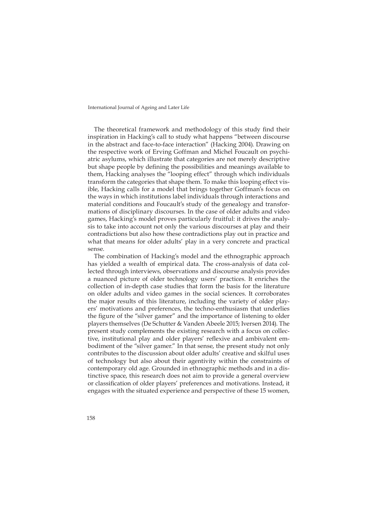The theoretical framework and methodology of this study find their inspiration in Hacking's call to study what happens "between discourse in the abstract and face-to-face interaction" (Hacking 2004). Drawing on the respective work of Erving Goffman and Michel Foucault on psychiatric asylums, which illustrate that categories are not merely descriptive but shape people by defining the possibilities and meanings available to them, Hacking analyses the "looping effect" through which individuals transform the categories that shape them. To make this looping effect visible, Hacking calls for a model that brings together Goffman's focus on the ways in which institutions label individuals through interactions and material conditions and Foucault's study of the genealogy and transformations of disciplinary discourses. In the case of older adults and video games, Hacking's model proves particularly fruitful: it drives the analysis to take into account not only the various discourses at play and their contradictions but also how these contradictions play out in practice and what that means for older adults' play in a very concrete and practical sense.

The combination of Hacking's model and the ethnographic approach has yielded a wealth of empirical data. The cross-analysis of data collected through interviews, observations and discourse analysis provides a nuanced picture of older technology users' practices. It enriches the collection of in-depth case studies that form the basis for the literature on older adults and video games in the social sciences. It corroborates the major results of this literature, including the variety of older players' motivations and preferences, the techno-enthusiasm that underlies the figure of the "silver gamer" and the importance of listening to older players themselves (De Schutter & Vanden Abeele 2015; Iversen 2014). The present study complements the existing research with a focus on collective, institutional play and older players' reflexive and ambivalent embodiment of the "silver gamer." In that sense, the present study not only contributes to the discussion about older adults' creative and skilful uses of technology but also about their agentivity within the constraints of contemporary old age. Grounded in ethnographic methods and in a distinctive space, this research does not aim to provide a general overview or classification of older players' preferences and motivations. Instead, it engages with the situated experience and perspective of these 15 women,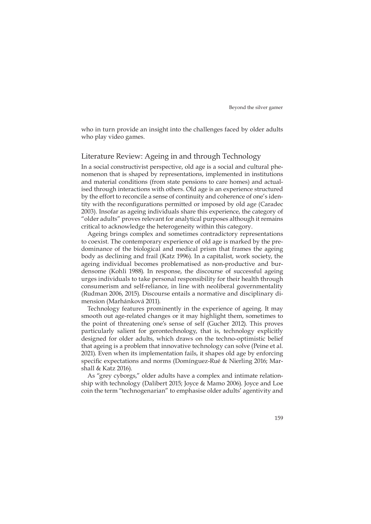who in turn provide an insight into the challenges faced by older adults who play video games.

# Literature Review: Ageing in and through Technology

In a social constructivist perspective, old age is a social and cultural phenomenon that is shaped by representations, implemented in institutions and material conditions (from state pensions to care homes) and actualised through interactions with others. Old age is an experience structured by the effort to reconcile a sense of continuity and coherence of one's identity with the reconfigurations permitted or imposed by old age (Caradec 2003). Insofar as ageing individuals share this experience, the category of "older adults" proves relevant for analytical purposes although it remains critical to acknowledge the heterogeneity within this category.

Ageing brings complex and sometimes contradictory representations to coexist. The contemporary experience of old age is marked by the predominance of the biological and medical prism that frames the ageing body as declining and frail (Katz 1996). In a capitalist, work society, the ageing individual becomes problematised as non-productive and burdensome (Kohli 1988). In response, the discourse of successful ageing urges individuals to take personal responsibility for their health through consumerism and self-reliance, in line with neoliberal governmentality (Rudman 2006, 2015). Discourse entails a normative and disciplinary dimension (Marhánková 2011).

Technology features prominently in the experience of ageing. It may smooth out age-related changes or it may highlight them, sometimes to the point of threatening one's sense of self (Gucher 2012). This proves particularly salient for gerontechnology, that is, technology explicitly designed for older adults, which draws on the techno-optimistic belief that ageing is a problem that innovative technology can solve (Peine et al. 2021). Even when its implementation fails, it shapes old age by enforcing specific expectations and norms (Domínguez-Rué & Nierling 2016; Marshall & Katz 2016).

As "grey cyborgs," older adults have a complex and intimate relationship with technology (Dalibert 2015; Joyce & Mamo 2006). Joyce and Loe coin the term "technogenarian" to emphasise older adults' agentivity and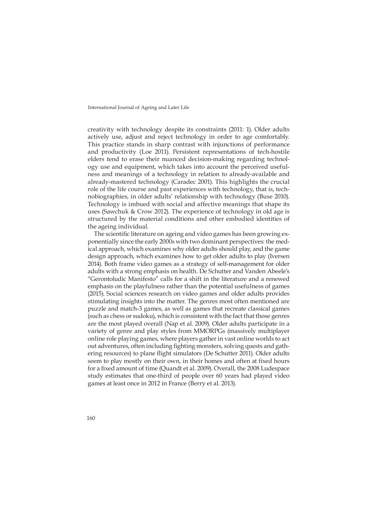creativity with technology despite its constraints (2011: 1). Older adults actively use, adjust and reject technology in order to age comfortably. This practice stands in sharp contrast with injunctions of performance and productivity (Loe 2011). Persistent representations of tech-hostile elders tend to erase their nuanced decision-making regarding technology use and equipment, which takes into account the perceived usefulness and meanings of a technology in relation to already-available and already-mastered technology (Caradec 2001). This highlights the crucial role of the life course and past experiences with technology, that is, technobiographies, in older adults' relationship with technology (Buse 2010). Technology is imbued with social and affective meanings that shape its uses (Sawchuk & Crow 2012). The experience of technology in old age is structured by the material conditions and other embodied identities of the ageing individual.

The scientific literature on ageing and video games has been growing exponentially since the early 2000s with two dominant perspectives: the medical approach, which examines why older adults should play, and the game design approach, which examines how to get older adults to play (Iversen 2014). Both frame video games as a strategy of self-management for older adults with a strong emphasis on health. De Schutter and Vanden Abeele's "Gerontoludic Manifesto" calls for a shift in the literature and a renewed emphasis on the playfulness rather than the potential usefulness of games (2015). Social sciences research on video games and older adults provides stimulating insights into the matter. The genres most often mentioned are puzzle and match-3 games, as well as games that recreate classical games (such as chess or sudoku), which is consistent with the fact that those genres are the most played overall (Nap et al. 2009). Older adults participate in a variety of genre and play styles from MMORPGs (massively multiplayer online role playing games, where players gather in vast online worlds to act out adventures, often including fighting monsters, solving quests and gathering resources) to plane flight simulators (De Schutter 2011). Older adults seem to play mostly on their own, in their homes and often at fixed hours for a fixed amount of time (Quandt et al. 2009). Overall, the 2008 Ludespace study estimates that one-third of people over 60 years had played video games at least once in 2012 in France (Berry et al. 2013).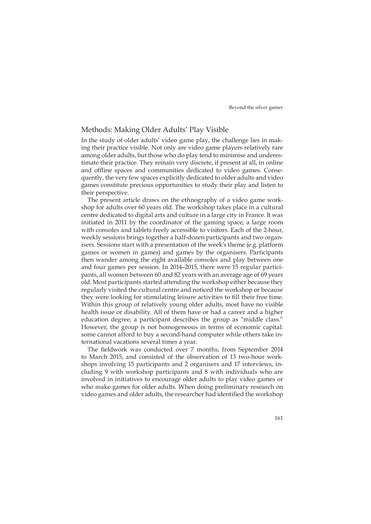#### Methods: Making Older Adults' Play Visible

In the study of older adults' video game play, the challenge lies in making their practice visible. Not only are video game players relatively rare among older adults, but those who do play tend to minimise and underestimate their practice. They remain very discrete, if present at all, in online and offline spaces and communities dedicated to video games. Consequently, the very few spaces explicitly dedicated to older adults and video games constitute precious opportunities to study their play and listen to their perspective.

The present article draws on the ethnography of a video game workshop for adults over 60 years old. The workshop takes place in a cultural centre dedicated to digital arts and culture in a large city in France. It was initiated in 2011 by the coordinator of the gaming space, a large room with consoles and tablets freely accessible to visitors. Each of the 2-hour, weekly sessions brings together a half-dozen participants and two organisers. Sessions start with a presentation of the week's theme (e.g. platform games or women in games) and games by the organisers. Participants then wander among the eight available consoles and play between one and four games per session. In 2014–2015, there were 15 regular participants, all women between 60 and 82 years with an average age of 69 years old. Most participants started attending the workshop either because they regularly visited the cultural centre and noticed the workshop or because they were looking for stimulating leisure activities to fill their free time. Within this group of relatively young older adults, most have no visible health issue or disability. All of them have or had a career and a higher education degree; a participant describes the group as "middle class." However, the group is not homogeneous in terms of economic capital: some cannot afford to buy a second-hand computer while others take international vacations several times a year.

The fieldwork was conducted over 7 months, from September 2014 to March 2015, and consisted of the observation of 13 two-hour workshops involving 15 participants and 2 organisers and 17 interviews, including 9 with workshop participants and 8 with individuals who are involved in initiatives to encourage older adults to play video games or who make games for older adults. When doing preliminary research on video games and older adults, the researcher had identified the workshop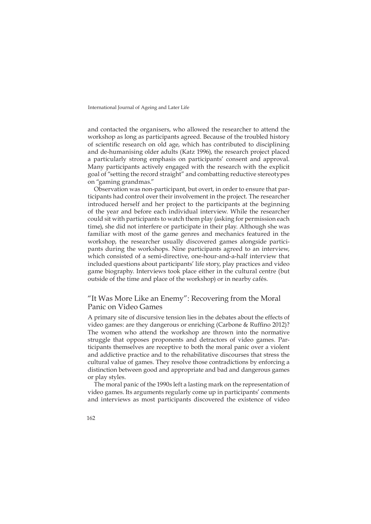and contacted the organisers, who allowed the researcher to attend the workshop as long as participants agreed. Because of the troubled history of scientific research on old age, which has contributed to disciplining and de-humanising older adults (Katz 1996), the research project placed a particularly strong emphasis on participants' consent and approval. Many participants actively engaged with the research with the explicit goal of "setting the record straight" and combatting reductive stereotypes on "gaming grandmas."

Observation was non-participant, but overt, in order to ensure that participants had control over their involvement in the project. The researcher introduced herself and her project to the participants at the beginning of the year and before each individual interview. While the researcher could sit with participants to watch them play (asking for permission each time), she did not interfere or participate in their play. Although she was familiar with most of the game genres and mechanics featured in the workshop, the researcher usually discovered games alongside participants during the workshops. Nine participants agreed to an interview, which consisted of a semi-directive, one-hour-and-a-half interview that included questions about participants' life story, play practices and video game biography. Interviews took place either in the cultural centre (but outside of the time and place of the workshop) or in nearby cafés.

# "It Was More Like an Enemy": Recovering from the Moral Panic on Video Games

A primary site of discursive tension lies in the debates about the effects of video games: are they dangerous or enriching (Carbone & Ruffino 2012)? The women who attend the workshop are thrown into the normative struggle that opposes proponents and detractors of video games. Participants themselves are receptive to both the moral panic over a violent and addictive practice and to the rehabilitative discourses that stress the cultural value of games. They resolve those contradictions by enforcing a distinction between good and appropriate and bad and dangerous games or play styles.

The moral panic of the 1990s left a lasting mark on the representation of video games. Its arguments regularly come up in participants' comments and interviews as most participants discovered the existence of video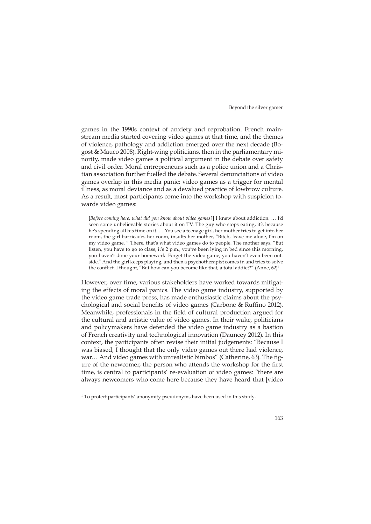games in the 1990s context of anxiety and reprobation. French mainstream media started covering video games at that time, and the themes of violence, pathology and addiction emerged over the next decade (Bogost & Mauco 2008). Right-wing politicians, then in the parliamentary minority, made video games a political argument in the debate over safety and civil order. Moral entrepreneurs such as a police union and a Christian association further fuelled the debate. Several denunciations of video games overlap in this media panic: video games as a trigger for mental illness, as moral deviance and as a devalued practice of lowbrow culture. As a result, most participants come into the workshop with suspicion towards video games:

[*Before coming here, what did you know about video games?*] I knew about addiction. … I'd seen some unbelievable stories about it on TV. The guy who stops eating, it's because he's spending all his time on it. … You see a teenage girl, her mother tries to get into her room, the girl barricades her room, insults her mother, "Bitch, leave me alone, I'm on my video game. " There, that's what video games do to people. The mother says, "But listen, you have to go to class, it's 2 p.m., you've been lying in bed since this morning, you haven't done your homework. Forget the video game, you haven't even been outside." And the girl keeps playing, and then a psychotherapist comes in and tries to solve the conflict. I thought, "But how can you become like that, a total addict?" (Anne, 62)<sup>1</sup>

However, over time, various stakeholders have worked towards mitigating the effects of moral panics. The video game industry, supported by the video game trade press, has made enthusiastic claims about the psychological and social benefits of video games (Carbone & Ruffino 2012). Meanwhile, professionals in the field of cultural production argued for the cultural and artistic value of video games. In their wake, politicians and policymakers have defended the video game industry as a bastion of French creativity and technological innovation (Dauncey 2012). In this context, the participants often revise their initial judgements: "Because I was biased, I thought that the only video games out there had violence, war… And video games with unrealistic bimbos" (Catherine, 63). The figure of the newcomer, the person who attends the workshop for the first time, is central to participants' re-evaluation of video games: "there are always newcomers who come here because they have heard that [video

<sup>&</sup>lt;sup>1</sup> To protect participants' anonymity pseudonyms have been used in this study.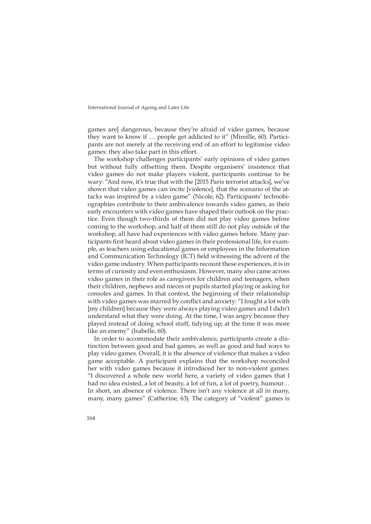games are] dangerous, because they're afraid of video games, because they want to know if … people get addicted to it" (Mireille, 60). Participants are not merely at the receiving end of an effort to legitimise video games: they also take part in this effort.

The workshop challenges participants' early opinions of video games but without fully offsetting them. Despite organisers' insistence that video games do not make players violent, participants continue to be wary: "And now, it's true that with the [2015 Paris terrorist attacks], we've shown that video games can incite [violence], that the scenario of the attacks was inspired by a video game" (Nicole, 62). Participants' technobiographies contribute to their ambivalence towards video games, as their early encounters with video games have shaped their outlook on the practice. Even though two-thirds of them did not play video games before coming to the workshop, and half of them still do not play outside of the workshop, all have had experiences with video games before. Many participants first heard about video games in their professional life, for example, as teachers using educational games or employees in the Information and Communication Technology (ICT) field witnessing the advent of the video game industry. When participants recount these experiences, it is in terms of curiosity and even enthusiasm. However, many also came across video games in their role as caregivers for children and teenagers, when their children, nephews and nieces or pupils started playing or asking for consoles and games. In that context, the beginning of their relationship with video games was marred by conflict and anxiety: "I fought a lot with [my children] because they were always playing video games and I didn't understand what they were doing. At the time, I was angry because they played instead of doing school stuff, tidying up; at the time it was more like an enemy" (Isabelle, 60).

In order to accommodate their ambivalence, participants create a distinction between good and bad games, as well as good and bad ways to play video games. Overall, it is the absence of violence that makes a video game acceptable. A participant explains that the workshop reconciled her with video games because it introduced her to non-violent games: "I discovered a whole new world here, a variety of video games that I had no idea existed, a lot of beauty, a lot of fun, a lot of poetry, humour… In short, an absence of violence. There isn't any violence at all in many, many, many games" (Catherine, 63). The category of "violent" games is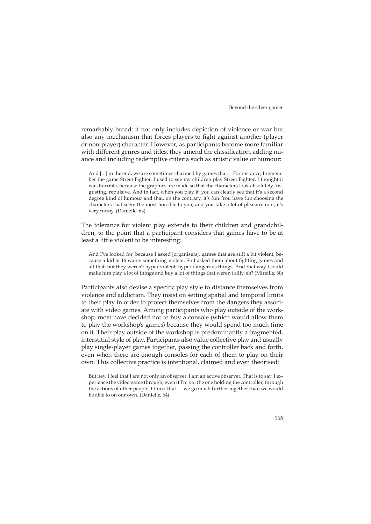remarkably broad: it not only includes depiction of violence or war but also any mechanism that forces players to fight against another (player or non-player) character. However, as participants become more familiar with different genres and titles, they amend the classification, adding nuance and including redemptive criteria such as artistic value or humour:

And [...] in the end, we are sometimes charmed by games that... For instance, I remember the game Street Fighter. I used to see my children play Street Fighter, I thought it was horrible, because the graphics are made so that the characters look absolutely disgusting, repulsive. And in fact, when you play it, you can clearly see that it's a second degree kind of humour and that, on the contrary, it's fun. You have fun choosing the characters that seem the most horrible to you, and you take a lot of pleasure in it, it's very funny. (Danielle, 64)

The tolerance for violent play extends to their children and grandchildren, to the point that a participant considers that games have to be at least a little violent to be interesting:

And I've looked for, because I asked [organisers], games that are still a bit violent, because a kid at 16 wants something violent. So I asked them about fighting games and all that, but they weren't hyper violent, hyper dangerous things. And that way I could make him play a lot of things and buy a lot of things that weren't silly, eh? (Mireille, 60)

Participants also devise a specific play style to distance themselves from violence and addiction. They insist on setting spatial and temporal limits to their play in order to protect themselves from the dangers they associate with video games. Among participants who play outside of the workshop, most have decided not to buy a console (which would allow them to play the workshop's games) because they would spend too much time on it. Their play outside of the workshop is predominantly a fragmented, interstitial style of play. Participants also value collective play and usually play single-player games together, passing the controller back and forth, even when there are enough consoles for each of them to play on their own. This collective practice is intentional, claimed and even theorised:

But hey, I feel that I am not only an observer, I am an active observer. That is to say, I experience the video game through, even if I'm not the one holding the controller, through the actions of other people. I think that … we go much further together than we would be able to on our own. (Danielle, 64)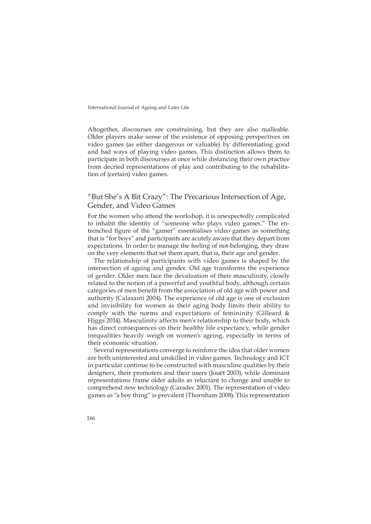Altogether, discourses are constraining, but they are also malleable. Older players make sense of the existence of opposing perspectives on video games (as either dangerous or valuable) by differentiating good and bad ways of playing video games. This distinction allows them to participate in both discourses at once while distancing their own practice from decried representations of play and contributing to the rehabilitation of (certain) video games.

# "But She's A Bit Crazy": The Precarious Intersection of Age, Gender, and Video Games

For the women who attend the workshop, it is unexpectedly complicated to inhabit the identity of "someone who plays video games." The entrenched figure of the "gamer" essentialises video games as something that is "for boys" and participants are acutely aware that they depart from expectations. In order to manage the feeling of not-belonging, they draw on the very elements that set them apart, that is, their age and gender.

The relationship of participants with video games is shaped by the intersection of ageing and gender. Old age transforms the experience of gender. Older men face the devaluation of their masculinity, closely related to the notion of a powerful and youthful body, although certain categories of men benefit from the association of old age with power and authority (Calasanti 2004). The experience of old age is one of exclusion and invisibility for women as their aging body limits their ability to comply with the norms and expectations of femininity (Gilleard  $\&$ Higgs 2014). Masculinity affects men's relationship to their body, which has direct consequences on their healthy life expectancy, while gender inequalities heavily weigh on women's ageing, especially in terms of their economic situation.

Several representations converge to reinforce the idea that older women are both uninterested and unskilled in video games. Technology and ICT in particular continue to be constructed with masculine qualities by their designers, their promoters and their users (Jouët 2003), while dominant representations frame older adults as reluctant to change and unable to comprehend new technology (Caradec 2001). The representation of video games as "a boy thing" is prevalent (Thornham 2008). This representation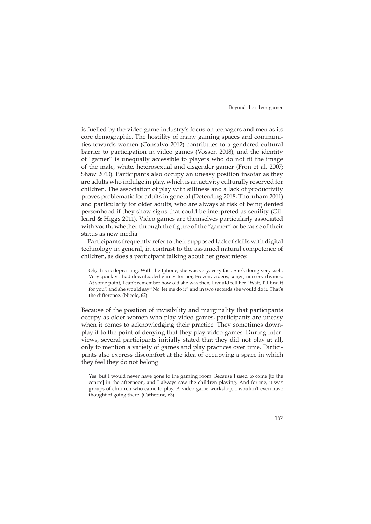is fuelled by the video game industry's focus on teenagers and men as its core demographic. The hostility of many gaming spaces and communities towards women (Consalvo 2012) contributes to a gendered cultural barrier to participation in video games (Vossen 2018), and the identity of "gamer" is unequally accessible to players who do not fit the image of the male, white, heterosexual and cisgender gamer (Fron et al. 2007; Shaw 2013). Participants also occupy an uneasy position insofar as they are adults who indulge in play, which is an activity culturally reserved for children. The association of play with silliness and a lack of productivity proves problematic for adults in general (Deterding 2018; Thornham 2011) and particularly for older adults, who are always at risk of being denied personhood if they show signs that could be interpreted as senility (Gilleard & Higgs 2011). Video games are themselves particularly associated with youth, whether through the figure of the "gamer" or because of their status as new media.

Participants frequently refer to their supposed lack of skills with digital technology in general, in contrast to the assumed natural competence of children, as does a participant talking about her great niece:

Oh, this is depressing. With the Iphone, she was very, very fast. She's doing very well. Very quickly I had downloaded games for her, Frozen, videos, songs, nursery rhymes. At some point, I can't remember how old she was then, I would tell her "Wait, I'll find it for you", and she would say "No, let me do it" and in two seconds she would do it. That's the difference. (Nicole, 62)

Because of the position of invisibility and marginality that participants occupy as older women who play video games, participants are uneasy when it comes to acknowledging their practice. They sometimes downplay it to the point of denying that they play video games. During interviews, several participants initially stated that they did not play at all, only to mention a variety of games and play practices over time. Participants also express discomfort at the idea of occupying a space in which they feel they do not belong:

Yes, but I would never have gone to the gaming room. Because I used to come [to the centre] in the afternoon, and I always saw the children playing. And for me, it was groups of children who came to play. A video game workshop, I wouldn't even have thought of going there. (Catherine, 63)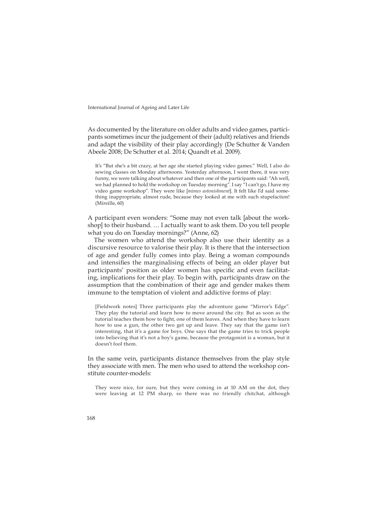As documented by the literature on older adults and video games, participants sometimes incur the judgement of their (adult) relatives and friends and adapt the visibility of their play accordingly (De Schutter & Vanden Abeele 2008; De Schutter et al. 2014; Quandt et al. 2009).

It's "But she's a bit crazy, at her age she started playing video games." Well, I also do sewing classes on Monday afternoons. Yesterday afternoon, I went there, it was very funny, we were talking about whatever and then one of the participants said: "Ah well, we had planned to hold the workshop on Tuesday morning". I say "I can't go, I have my video game workshop". They were like [*mimes astonishment*]. It felt like I'd said something inappropriate, almost rude, because they looked at me with such stupefaction! (Mireille, 60)

A participant even wonders: "Some may not even talk [about the workshop] to their husband. … I actually want to ask them. Do you tell people what you do on Tuesday mornings?" (Anne, 62)

The women who attend the workshop also use their identity as a discursive resource to valorise their play. It is there that the intersection of age and gender fully comes into play. Being a woman compounds and intensifies the marginalising effects of being an older player but participants' position as older women has specific and even facilitating, implications for their play. To begin with, participants draw on the assumption that the combination of their age and gender makes them immune to the temptation of violent and addictive forms of play:

[Fieldwork notes] Three participants play the adventure game "Mirror's Edge". They play the tutorial and learn how to move around the city. But as soon as the tutorial teaches them how to fight, one of them leaves. And when they have to learn how to use a gun, the other two get up and leave. They say that the game isn't interesting, that it's a game for boys. One says that the game tries to trick people into believing that it's not a boy's game, because the protagonist is a woman, but it doesn't fool them.

In the same vein, participants distance themselves from the play style they associate with men. The men who used to attend the workshop constitute counter-models:

They were nice, for sure, but they were coming in at 10 AM on the dot, they were leaving at 12 PM sharp, so there was no friendly chitchat, although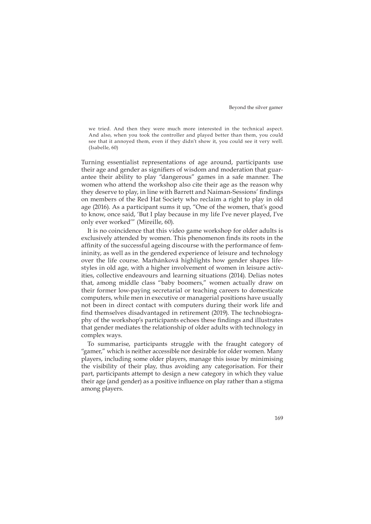we tried. And then they were much more interested in the technical aspect. And also, when you took the controller and played better than them, you could see that it annoyed them, even if they didn't show it, you could see it very well. (Isabelle, 60)

Turning essentialist representations of age around, participants use their age and gender as signifiers of wisdom and moderation that guarantee their ability to play "dangerous" games in a safe manner. The women who attend the workshop also cite their age as the reason why they deserve to play, in line with Barrett and Naiman-Sessions' findings on members of the Red Hat Society who reclaim a right to play in old age (2016). As a participant sums it up, "One of the women, that's good to know, once said, 'But I play because in my life I've never played, I've only ever worked'" (Mireille, 60).

It is no coincidence that this video game workshop for older adults is exclusively attended by women. This phenomenon finds its roots in the affinity of the successful ageing discourse with the performance of femininity, as well as in the gendered experience of leisure and technology over the life course. Marhánková highlights how gender shapes lifestyles in old age, with a higher involvement of women in leisure activities, collective endeavours and learning situations (2014). Delias notes that, among middle class "baby boomers," women actually draw on their former low-paying secretarial or teaching careers to domesticate computers, while men in executive or managerial positions have usually not been in direct contact with computers during their work life and find themselves disadvantaged in retirement (2019). The technobiography of the workshop's participants echoes these findings and illustrates that gender mediates the relationship of older adults with technology in complex ways.

To summarise, participants struggle with the fraught category of "gamer," which is neither accessible nor desirable for older women. Many players, including some older players, manage this issue by minimising the visibility of their play, thus avoiding any categorisation. For their part, participants attempt to design a new category in which they value their age (and gender) as a positive influence on play rather than a stigma among players.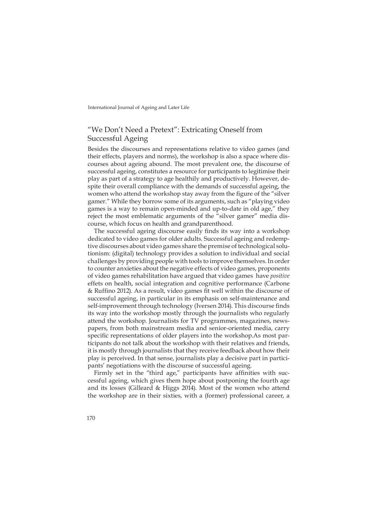# "We Don't Need a Pretext": Extricating Oneself from Successful Ageing

Besides the discourses and representations relative to video games (and their effects, players and norms), the workshop is also a space where discourses about ageing abound. The most prevalent one, the discourse of successful ageing, constitutes a resource for participants to legitimise their play as part of a strategy to age healthily and productively. However, despite their overall compliance with the demands of successful ageing, the women who attend the workshop stay away from the figure of the "silver gamer." While they borrow some of its arguments, such as "playing video games is a way to remain open-minded and up-to-date in old age," they reject the most emblematic arguments of the "silver gamer" media discourse, which focus on health and grandparenthood.

The successful ageing discourse easily finds its way into a workshop dedicated to video games for older adults. Successful ageing and redemptive discourses about video games share the premise of technological solutionism: (digital) technology provides a solution to individual and social challenges by providing people with tools to improve themselves. In order to counter anxieties about the negative effects of video games, proponents of video games rehabilitation have argued that video games have *positive* effets on health, social integration and cognitive performance (Carbone & Ruffino 2012). As a result, video games fit well within the discourse of successful ageing, in particular in its emphasis on self-maintenance and self-improvement through technology (Iversen 2014). This discourse finds its way into the workshop mostly through the journalists who regularly attend the workshop. Journalists for TV programmes, magazines, newspapers, from both mainstream media and senior-oriented media, carry specific representations of older players into the workshop.As most participants do not talk about the workshop with their relatives and friends, it is mostly through journalists that they receive feedback about how their play is perceived. In that sense, journalists play a decisive part in participants' negotiations with the discourse of successful ageing.

Firmly set in the "third age," participants have affinities with successful ageing, which gives them hope about postponing the fourth age and its losses (Gilleard & Higgs 2014). Most of the women who attend the workshop are in their sixties, with a (former) professional career, a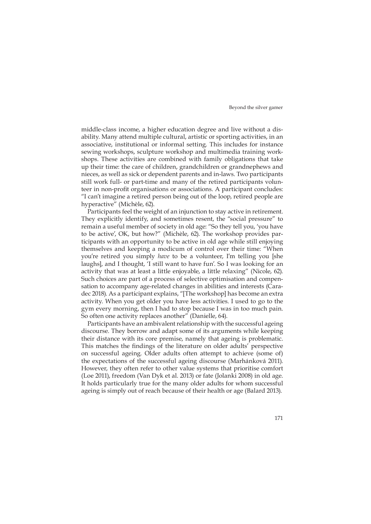middle-class income, a higher education degree and live without a disability. Many attend multiple cultural, artistic or sporting activities, in an associative, institutional or informal setting. This includes for instance sewing workshops, sculpture workshop and multimedia training workshops. These activities are combined with family obligations that take up their time: the care of children, grandchildren or grandnephews and nieces, as well as sick or dependent parents and in-laws. Two participants still work full- or part-time and many of the retired participants volunteer in non-profit organisations or associations. A participant concludes: "I can't imagine a retired person being out of the loop, retired people are hyperactive" (Michèle, 62).

Participants feel the weight of an injunction to stay active in retirement. They explicitly identify, and sometimes resent, the "social pressure" to remain a useful member of society in old age: "So they tell you, 'you have to be active', OK, but how?" (Michèle, 62). The workshop provides participants with an opportunity to be active in old age while still enjoying themselves and keeping a modicum of control over their time: "When you're retired you simply *have* to be a volunteer, I'm telling you [she laughs], and I thought, 'I still want to have fun'. So I was looking for an activity that was at least a little enjoyable, a little relaxing" (Nicole, 62). Such choices are part of a process of selective optimisation and compensation to accompany age-related changes in abilities and interests (Caradec 2018). As a participant explains, "[The workshop] has become an extra activity. When you get older you have less activities. I used to go to the gym every morning, then I had to stop because I was in too much pain. So often one activity replaces another" (Danielle, 64).

Participants have an ambivalent relationship with the successful ageing discourse. They borrow and adapt some of its arguments while keeping their distance with its core premise, namely that ageing is problematic. This matches the findings of the literature on older adults' perspective on successful ageing. Older adults often attempt to achieve (some of) the expectations of the successful ageing discourse (Marhánková 2011). However, they often refer to other value systems that prioritise comfort (Loe 2011), freedom (Van Dyk et al. 2013) or fate (Jolanki 2008) in old age. It holds particularly true for the many older adults for whom successful ageing is simply out of reach because of their health or age (Balard 2013).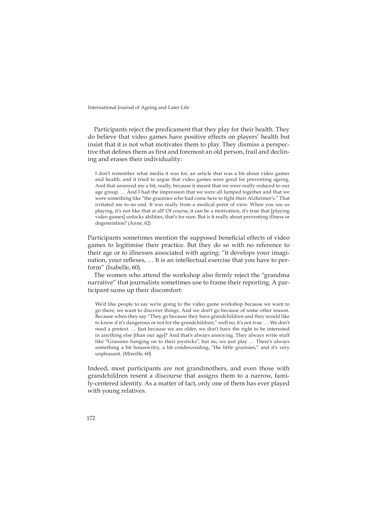Participants reject the predicament that they play for their health. They do believe that video games have positive effects on players' health but insist that it is not what motivates them to play. They dismiss a perspective that defines them as first and foremost an old person, frail and declining and erases their individuality:

I don't remember what media it was for, an article that was a bit about video games and health, and it tried to argue that video games were good for preventing ageing. And that annoyed me a bit, really, because it meant that we were really reduced to our age group. … And I had the impression that we were all lumped together and that we were something like "the grannies who had come here to fight their Alzheimer's." That irritated me to no end. It was really from a medical point of view. When you see us playing, it's not like that at all! Of course, it can be a motivation, it's true that [playing video games] unlocks abilities, that's for sure. But is it really about preventing illness or degeneration? (Anne, 62)

Participants sometimes mention the supposed beneficial effects of video games to legitimise their practice. But they do so with no reference to their age or to illnesses associated with ageing: "it develops your imagination, your reflexes, … It is an intellectual exercise that you have to perform" (Isabelle, 60).

The women who attend the workshop also firmly reject the "grandma narrative" that journalists sometimes use to frame their reporting. A participant sums up their discomfort:

We'd like people to say we're going to the video game workshop because we want to go there, we want to discover things. And we don't go because of some other reason. Because when they say "They go because they have grandchildren and they would like to know if it's dangerous or not for the grandchildren," well no, it's not true. … We don't need a pretext. … Just because we are older, we don't have the right to be interested in anything else [than our age]? And that's always annoying. They always write stuff like "Grannies hanging on to their joysticks", but no, we just play … There's always something a bit housewifey, a bit condescending, "the little grannies," and it's very unpleasant. (Mireille, 60)

Indeed, most participants are not grandmothers, and even those with grandchildren resent a discourse that assigns them to a narrow, family-centered identity. As a matter of fact, only one of them has ever played with young relatives.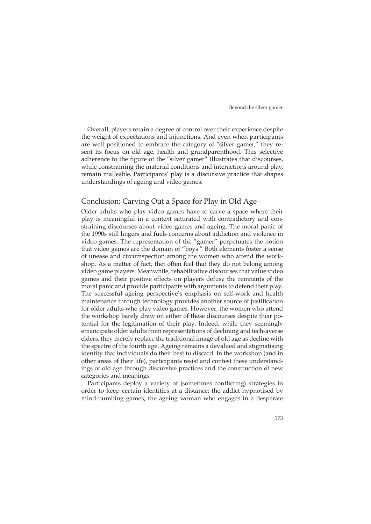Overall, players retain a degree of control over their experience despite the weight of expectations and injunctions. And even when participants are well positioned to embrace the category of "silver gamer," they resent its focus on old age, health and grandparenthood. This selective adherence to the figure of the "silver gamer" illustrates that discourses, while constraining the material conditions and interactions around play, remain malleable. Participants' play is a discursive practice that shapes understandings of ageing and video games.

## Conclusion: Carving Out a Space for Play in Old Age

Older adults who play video games have to carve a space where their play is meaningful in a context saturated with contradictory and constraining discourses about video games and ageing. The moral panic of the 1990s still lingers and fuels concerns about addiction and violence in video games. The representation of the "gamer" perpetuates the notion that video games are the domain of "boys." Both elements foster a sense of unease and circumspection among the women who attend the workshop. As a matter of fact, thet often feel that they do not belong among video game players. Meanwhile, rehabilitative discourses that value video games and their positive effects on players defuse the remnants of the moral panic and provide participants with arguments to defend their play. The successful ageing perspective's emphasis on self-work and health maintenance through technology provides another source of justification for older adults who play video games. However, the women who attend the workshop barely draw on either of these discourses despite their potential for the legitimation of their play. Indeed, while they seemingly emancipate older adults from representations of declining and tech-averse elders, they merely replace the traditional image of old age as decline with the spectre of the fourth age. Ageing remains a devalued and stigmatising identity that individuals do their best to discard. In the workshop (and in other areas of their life), participants resist and contest these understandings of old age through discursive practices and the construction of new categories and meanings.

Participants deploy a variety of (sometimes conflicting) strategies in order to keep certain identities at a distance: the addict hypnotised by mind-numbing games, the ageing woman who engages in a desperate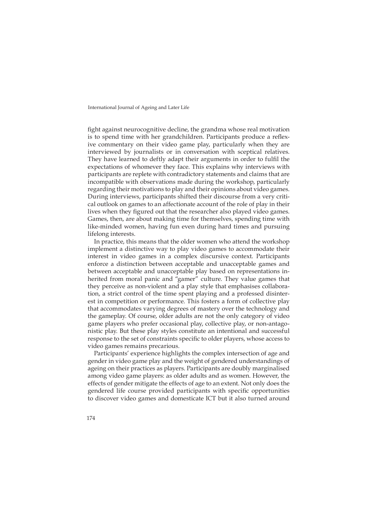fight against neurocognitive decline, the grandma whose real motivation is to spend time with her grandchildren. Participants produce a reflexive commentary on their video game play, particularly when they are interviewed by journalists or in conversation with sceptical relatives. They have learned to deftly adapt their arguments in order to fulfil the expectations of whomever they face. This explains why interviews with participants are replete with contradictory statements and claims that are incompatible with observations made during the workshop, particularly regarding their motivations to play and their opinions about video games. During interviews, participants shifted their discourse from a very critical outlook on games to an affectionate account of the role of play in their lives when they figured out that the researcher also played video games. Games, then, are about making time for themselves, spending time with like-minded women, having fun even during hard times and pursuing lifelong interests.

In practice, this means that the older women who attend the workshop implement a distinctive way to play video games to accommodate their interest in video games in a complex discursive context. Participants enforce a distinction between acceptable and unacceptable games and between acceptable and unacceptable play based on representations inherited from moral panic and "gamer" culture. They value games that they perceive as non-violent and a play style that emphasises collaboration, a strict control of the time spent playing and a professed disinterest in competition or performance. This fosters a form of collective play that accommodates varying degrees of mastery over the technology and the gameplay. Of course, older adults are not the only category of video game players who prefer occasional play, collective play, or non-antagonistic play. But these play styles constitute an intentional and successful response to the set of constraints specific to older players, whose access to video games remains precarious.

Participants' experience highlights the complex intersection of age and gender in video game play and the weight of gendered understandings of ageing on their practices as players. Participants are doubly marginalised among video game players: as older adults and as women. However, the effects of gender mitigate the effects of age to an extent. Not only does the gendered life course provided participants with specific opportunities to discover video games and domesticate ICT but it also turned around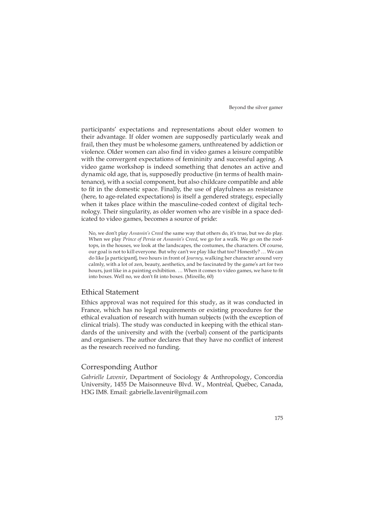participants' expectations and representations about older women to their advantage. If older women are supposedly particularly weak and frail, then they must be wholesome gamers, unthreatened by addiction or violence. Older women can also find in video games a leisure compatible with the convergent expectations of femininity and successful ageing. A video game workshop is indeed something that denotes an active and dynamic old age, that is, supposedly productive (in terms of health maintenance), with a social component, but also childcare compatible and able to fit in the domestic space. Finally, the use of playfulness as resistance (here, to age-related expectations) is itself a gendered strategy, especially when it takes place within the masculine-coded context of digital technology. Their singularity, as older women who are visible in a space dedicated to video games, becomes a source of pride:

No, we don't play *Assassin's Creed* the same way that others do, it's true, but we do play. When we play *Prince of Persia* or *Assassin's Creed*, we go for a walk. We go on the rooftops, in the houses, we look at the landscapes, the costumes, the characters. Of course, our goal is not to kill everyone. But why can't we play like that too? Honestly? … We can do like [a participant], two hours in front of *Journey*, walking her character around very calmly, with a lot of zen, beauty, aesthetics, and be fascinated by the game's art for two hours, just like in a painting exhibition. … When it comes to video games, we have to fit into boxes. Well no, we don't fit into boxes. (Mireille, 60)

#### Ethical Statement

Ethics approval was not required for this study, as it was conducted in France, which has no legal requirements or existing procedures for the ethical evaluation of research with human subjects (with the exception of clinical trials). The study was conducted in keeping with the ethical standards of the university and with the (verbal) consent of the participants and organisers. The author declares that they have no conflict of interest as the research received no funding.

#### Corresponding Author

*Gabrielle Lavenir*, Department of Sociology & Anthropology, Concordia University, 1455 De Maisonneuve Blvd. W., Montréal, Québec, Canada, H3G IM8. Email: [gabrielle.lavenir@gmail.com](mailto:gabrielle.lavenir@gmail.com)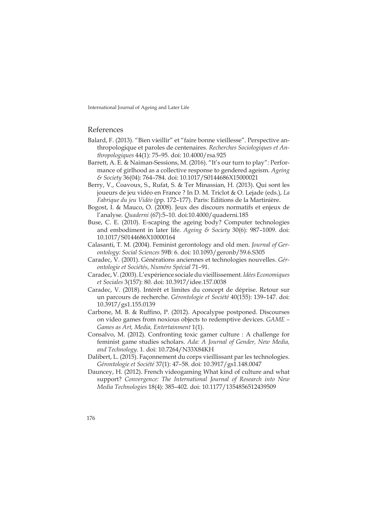#### References

- Balard, F. (2013). "Bien vieillir" et "faire bonne vieillesse". Perspective anthropologique et paroles de centenaires. *Recherches Sociologiques et Anthropologiques* 44(1): 75–95. doi: 10.4000/rsa.925
- Barrett, A. E. & Naiman-Sessions, M. (2016). "It's our turn to play": Performance of girlhood as a collective response to gendered ageism. *Ageing & Society* 36(04): 764–784. doi: 10.1017/S0144686X15000021
- Berry, V., Coavoux, S., Rufat, S. & Ter Minassian, H. (2013). Qui sont les joueurs de jeu vidéo en France ? In D. M. Triclot & O. Lejade (eds.), *La Fabrique du jeu Vidéo* (pp. 172–177). Paris: Editions de la Martinière.
- Bogost, I. & Mauco, O. (2008). Jeux des discours normatifs et enjeux de l'analyse. *Quaderni* (67):5–10. doi:10.4000/quaderni.185
- Buse, C. E. (2010). E-scaping the ageing body? Computer technologies and embodiment in later life. *Ageing & Society* 30(6): 987–1009. doi: 10.1017/S0144686X10000164
- Calasanti, T. M. (2004). Feminist gerontology and old men. *Journal of Gerontology: Social Sciences* 59B: 6. doi: 10.1093/geronb/59.6.S305
- Caradec, V. (2001). Générations anciennes et technologies nouvelles. *Gérontologie et Sociétés*, *Numéro Spécial* 71–91.
- Caradec, V. (2003). L'expérience sociale du vieillissement. *Idées Economiques et Sociales* 3(157): 80. doi: 10.3917/idee.157.0038
- Caradec, V. (2018). Intérêt et limites du concept de déprise. Retour sur un parcours de recherche. *Gérontologie et Société* 40(155): 139–147. doi: 10.3917/gs1.155.0139
- Carbone, M. B. & Ruffino, P. (2012). Apocalypse postponed. Discourses on video games from noxious objects to redemptive devices. *GAME – Games as Art, Media, Entertainment* 1(1).
- Consalvo, M. (2012). Confronting toxic gamer culture : A challenge for feminist game studies scholars. *Ada: A Journal of Gender, New Media, and Technology*. 1. doi: 10.7264/N33X84KH
- Dalibert, L. (2015). Façonnement du corps vieillissant par les technologies. *Gérontologie et Société* 37(1): 47–58. doi: 10.3917/gs1.148.0047
- Dauncey, H. (2012). French videogaming What kind of culture and what support? *Convergence: The International Journal of Research into New Media Technologies* 18(4): 385–402. doi: 10.1177/1354856512439509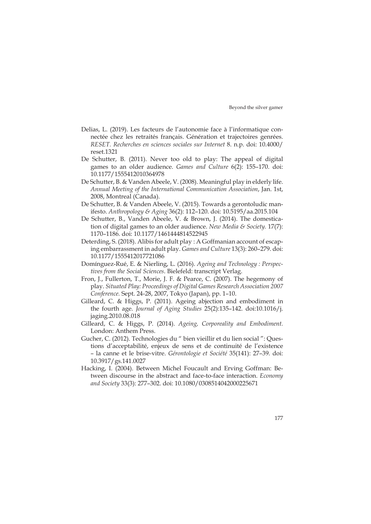- Delias, L. (2019). Les facteurs de l'autonomie face à l'informatique connectée chez les retraités français. Génération et trajectoires genrées. *RESET. Recherches en sciences sociales sur Internet* 8. n.p. doi: 10.4000/ reset.1321
- De Schutter, B. (2011). Never too old to play: The appeal of digital games to an older audience. *Games and Culture* 6(2): 155–170. doi: 10.1177/1555412010364978
- De Schutter, B. & Vanden Abeele, V. (2008). Meaningful play in elderly life. *Annual Meeting of the International Communication Association*, Jan. 1st, 2008, Montreal (Canada).
- De Schutter, B. & Vanden Abeele, V. (2015). Towards a gerontoludic manifesto. *Anthropology & Aging* 36(2): 112–120. doi: 10.5195/aa.2015.104
- De Schutter, B., Vanden Abeele, V. & Brown, J. (2014). The domestication of digital games to an older audience. *New Media & Society.* 17(7): 1170–1186. doi: 10.1177/1461444814522945
- Deterding, S. (2018). Alibis for adult play : A Goffmanian account of escaping embarrassment in adult play. *Games and Culture* 13(3): 260–279. doi: 10.1177/1555412017721086
- Domínguez-Rué, E. & Nierling, L. (2016). *Ageing and Technology : Perspectives from the Social Sciences*. Bielefeld: transcript Verlag.
- Fron, J., Fullerton, T., Morie, J. F. & Pearce, C. (2007). The hegemony of play. *Situated Play: Proceedings of Digital Games Research Association 2007 Conference.* Sept. 24-28, 2007, Tokyo (Japan), pp. 1–10.
- Gilleard, C. & Higgs, P. (2011). Ageing abjection and embodiment in the fourth age. *Journal of Aging Studies* 25(2):135–142. doi:10.1016/j. jaging.2010.08.018
- Gilleard, C. & Higgs, P. (2014). *Ageing, Corporeality and Embodiment.*  London: Anthem Press.
- Gucher, C. (2012). Technologies du " bien vieillir et du lien social ": Questions d'acceptabilité, enjeux de sens et de continuité de l'existence – la canne et le brise-vitre. *Gérontologie et Société* 35(141): 27–39. doi: 10.3917/gs.141.0027
- Hacking, I. (2004). Between Michel Foucault and Erving Goffman: Between discourse in the abstract and face-to-face interaction. *Economy and Society* 33(3): 277–302. doi: 10.1080/0308514042000225671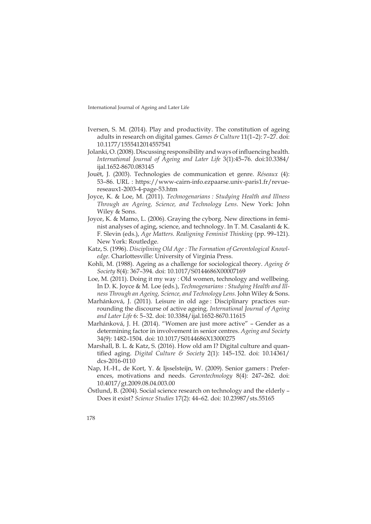- Iversen, S. M. (2014). Play and productivity. The constitution of ageing adults in research on digital games. *Games & Culture* 11(1–2): 7–27. doi: 10.1177/1555412014557541
- Jolanki, O. (2008).Discussing responsibility and ways of influencing health. *International Journal of Ageing and Later Life* 3(1):45–76. doi:10.3384/ ijal.1652-8670.083145
- Jouët, J. (2003). Technologies de communication et genre. *Réseaux* (4): 53–86. URL : [https://www-cairn-info.ezpaarse.univ-paris1.fr/revue](https://www-cairn-info.ezpaarse.univ-paris1.fr/revue-reseaux1-2003-4-page-53.htm)[reseaux1-2003-4-page-53.htm](https://www-cairn-info.ezpaarse.univ-paris1.fr/revue-reseaux1-2003-4-page-53.htm)
- Joyce, K. & Loe, M. (2011). *Technogenarians : Studying Health and Illness Through an Ageing, Science, and Technology Lens*. New York: John Wiley & Sons.
- Joyce, K. & Mamo, L. (2006). Graying the cyborg. New directions in feminist analyses of aging, science, and technology. In T. M. Casalanti & K. F. Slevin (eds.), *Age Matters. Realigning Feminist Thinking* (pp. 99–121). New York: Routledge.
- Katz, S. (1996). *Disciplining Old Age : The Formation of Gerontological Knowledge.* Charlottesville: University of Virginia Press.
- Kohli, M. (1988). Ageing as a challenge for sociological theory. *Ageing & Society* 8(4): 367–394. doi: 10.1017/S0144686X00007169
- Loe, M. (2011). Doing it my way : Old women, technology and wellbeing. In D. K. Joyce & M. Loe (eds.), *Technogenarians : Studying Health and Illness Through an Ageing, Science, and Technology Lens.* John Wiley & Sons.
- Marhánková, J. (2011). Leisure in old age : Disciplinary practices surrounding the discourse of active ageing. *International Journal of Ageing and Later Life* 6: 5–32. doi: 10.3384/ijal.1652-8670.11615
- Marhánková, J. H. (2014). "Women are just more active" Gender as a determining factor in involvement in senior centres. *Ageing and Society* 34(9): 1482–1504. doi: 10.1017/S0144686X13000275
- Marshall, B. L. & Katz, S. (2016). How old am I? Digital culture and quantified aging. *Digital Culture & Society* 2(1): 145–152. doi: 10.14361/ dcs-2016-0110
- Nap, H.-H., de Kort, Y. & Ijsselsteijn, W. (2009). Senior gamers : Preferences, motivations and needs. *Gerontechnology* 8(4): 247–262. doi: 10.4017/gt.2009.08.04.003.00
- Östlund, B. (2004). Social science research on technology and the elderly Does it exist? *Science Studies* 17(2): 44–62. doi: 10.23987/sts.55165